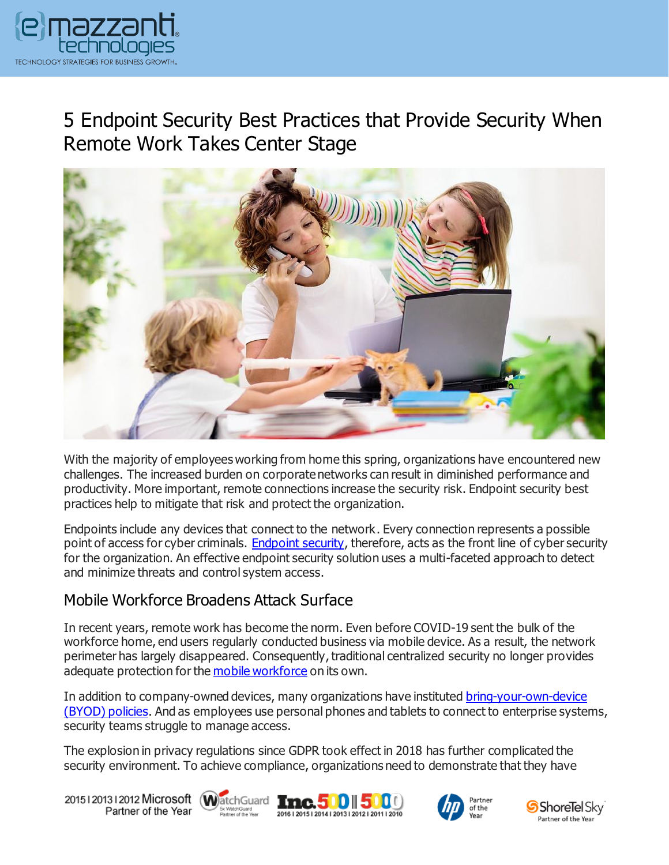

# 5 Endpoint Security Best Practices that Provide Security When Remote Work Takes Center Stage



With the majority of employees working from home this spring, organizations have encountered new challenges. The increased burden on corporate networks can result in diminished performance and productivity. More important, remote connections increase the security risk. Endpoint security best practices help to mitigate that risk and protect the organization.

Endpoints include any devices that connect to the network. Every connection represents a possible point of access for cyber criminals. [Endpoint security,](https://www.emazzanti.net/services/security-and-privacy/) therefore, acts as the front line of cyber security for the organization. An effective endpoint security solution uses a multi-faceted approach to detect and minimize threats and control system access.

#### Mobile Workforce Broadens Attack Surface

In recent years, remote work has become the norm. Even before COVID-19 sent the bulk of the workforce home, end users regularly conducted business via mobile device. As a result, the network perimeter has largely disappeared. Consequently, traditional centralized security no longer provides adequate protection for the [mobile workforce](https://messagingarchitects.com/mobile-workforce-security/) on its own.

In addition to company-owned devices, many organizations have instituted [bring-your-own-device](https://www.emazzanti.net/shadow-it-byod-conquering-corporate-cousins/)  [\(BYOD\) policies.](https://www.emazzanti.net/shadow-it-byod-conquering-corporate-cousins/) And as employees use personal phones and tablets to connect to enterprise systems, security teams struggle to manage access.

The explosion in privacy regulations since GDPR took effect in 2018 has further complicated the security environment. To achieve compliance, organizations need to demonstrate that they have

20151201312012 Microsoft WatchGuard Tnc. 500 500 Partner of the Year







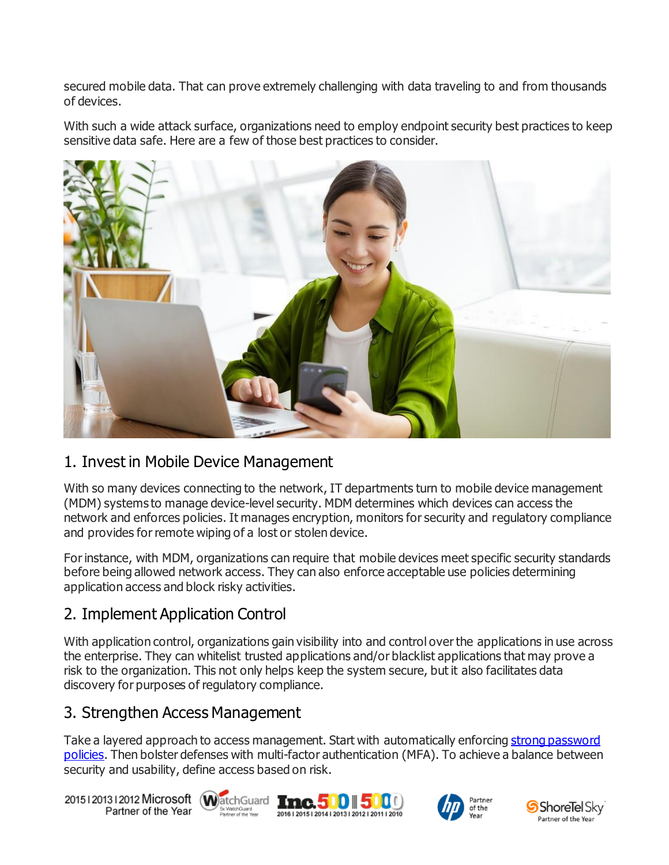secured mobile data. That can prove extremely challenging with data traveling to and from thousands of devices.

With such a wide attack surface, organizations need to employ endpoint security best practices to keep sensitive data safe. Here are a few of those best practices to consider.



#### 1. Invest in Mobile Device Management

With so many devices connecting to the network, IT departments turn to mobile device management (MDM) systems to manage device-level security. MDM determines which devices can access the network and enforces policies. It manages encryption, monitors for security and regulatory compliance and provides for remote wiping of a lost or stolen device.

For instance, with MDM, organizations can require that mobile devices meet specific security standards before being allowed network access. They can also enforce acceptable use policies determining application access and block risky activities.

# 2. Implement Application Control

With application control, organizations gain visibility into and control over the applications in use across the enterprise. They can whitelist trusted applications and/or blacklist applications that may prove a risk to the organization. This not only helps keep the system secure, but it also facilitates data discovery for purposes of regulatory compliance.

#### 3. Strengthen Access Management

Take a layered approach to access management. Start with automatically enforcin[g strong password](https://www.emazzanti.net/passwords-and-multi-factor-authentication/)  [policies.](https://www.emazzanti.net/passwords-and-multi-factor-authentication/) Then bolster defenses with multi-factor authentication (MFA). To achieve a balance between security and usability, define access based on risk.

20151201312012 Microsoft WatchGuard Tmc. 500 500 Partner of the Year